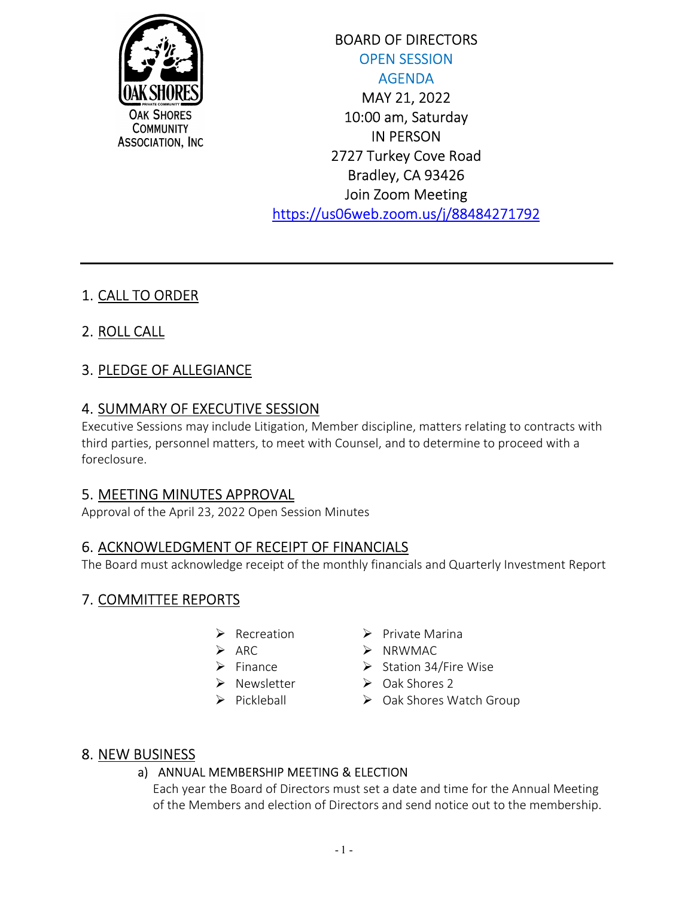

BOARD OF DIRECTORS OPEN SESSION AGENDA MAY 21, 2022 10:00 am, Saturday IN PERSON 2727 Turkey Cove Road Bradley, CA 93426 Join Zoom Meeting https://us06web.zoom.us/j/88484271792

# 1. CALL TO ORDER

2. ROLL CALL

# 3. PLEDGE OF ALLEGIANCE

## 4. SUMMARY OF EXECUTIVE SESSION

Executive Sessions may include Litigation, Member discipline, matters relating to contracts with third parties, personnel matters, to meet with Counsel, and to determine to proceed with a foreclosure.

## 5. MEETING MINUTES APPROVAL

Approval of the April 23, 2022 Open Session Minutes

## 6. ACKNOWLEDGMENT OF RECEIPT OF FINANCIALS

The Board must acknowledge receipt of the monthly financials and Quarterly Investment Report

## 7. COMMITTEE REPORTS

- $\triangleright$  Recreation
- $\triangleright$  ARC
- $\triangleright$  Finance
- $\triangleright$  Newsletter
- $\triangleright$  Pickleball
- $\triangleright$  Private Marina
- $\triangleright$  NRWMAC
- $\triangleright$  Station 34/Fire Wise
- $\triangleright$  Oak Shores 2
- ▶ Oak Shores Watch Group

### 8. NEW BUSINESS

#### a) ANNUAL MEMBERSHIP MEETING & ELECTION

Each year the Board of Directors must set a date and time for the Annual Meeting of the Members and election of Directors and send notice out to the membership.